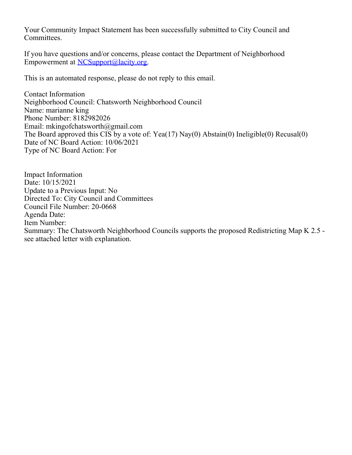Your Community Impact Statement has been successfully submitted to City Council and Committees.

If you have questions and/or concerns, please contact the Department of Neighborhood Empowerment at [NCSupport@lacity.org](mailto:NCSupport@lacity.org).

This is an automated response, please do not reply to this email.

Contact Information Neighborhood Council: Chatsworth Neighborhood Council Name: marianne king Phone Number: 8182982026 Email: mkingofchatsworth@gmail.com The Board approved this CIS by a vote of: Yea(17) Nay(0) Abstain(0) Ineligible(0) Recusal(0) Date of NC Board Action: 10/06/2021 Type of NC Board Action: For

Impact Information Date: 10/15/2021 Update to a Previous Input: No Directed To: City Council and Committees Council File Number: 20-0668 Agenda Date: Item Number: Summary: The Chatsworth Neighborhood Councils supports the proposed Redistricting Map K 2.5 see attached letter with explanation.